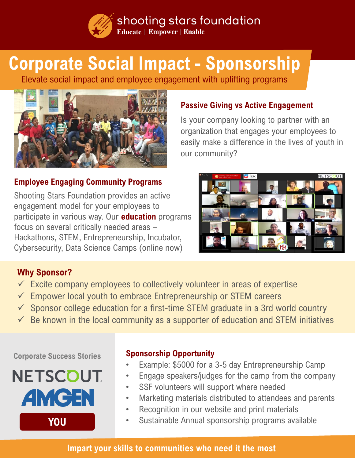shooting stars foundation **Educate | Empower | Enable** 

# **Corporate Social Impact - Sponsorship**

Elevate social impact and employee engagement with uplifting programs



## **Passive Giving vs Active Engagement**

Is your company looking to partner with an organization that engages your employees to easily make a difference in the lives of youth in our community?

## **Employee Engaging Community Programs**

Shooting Stars Foundation provides an active engagement model for your employees to participate in various way. Our **education** programs focus on several critically needed areas – Hackathons, STEM, Entrepreneurship, Incubator, Cybersecurity, Data Science Camps (online now)



## **Why Sponsor?**

- $\checkmark$  Excite company employees to collectively volunteer in areas of expertise
- $\checkmark$  Empower local youth to embrace Entrepreneurship or STEM careers
- $\checkmark$  Sponsor college education for a first-time STEM graduate in a 3rd world country
- $\checkmark$  Be known in the local community as a supporter of education and STEM initiatives

#### **Corporate Success Stories**



### **Sponsorship Opportunity**

- Example: \$5000 for a 3-5 day Entrepreneurship Camp
- Engage speakers/judges for the camp from the company
- SSF volunteers will support where needed
- Marketing materials distributed to attendees and parents
- Recognition in our website and print materials
- Sustainable Annual sponsorship programs available

#### **Impart your skills to communities who need it the most**